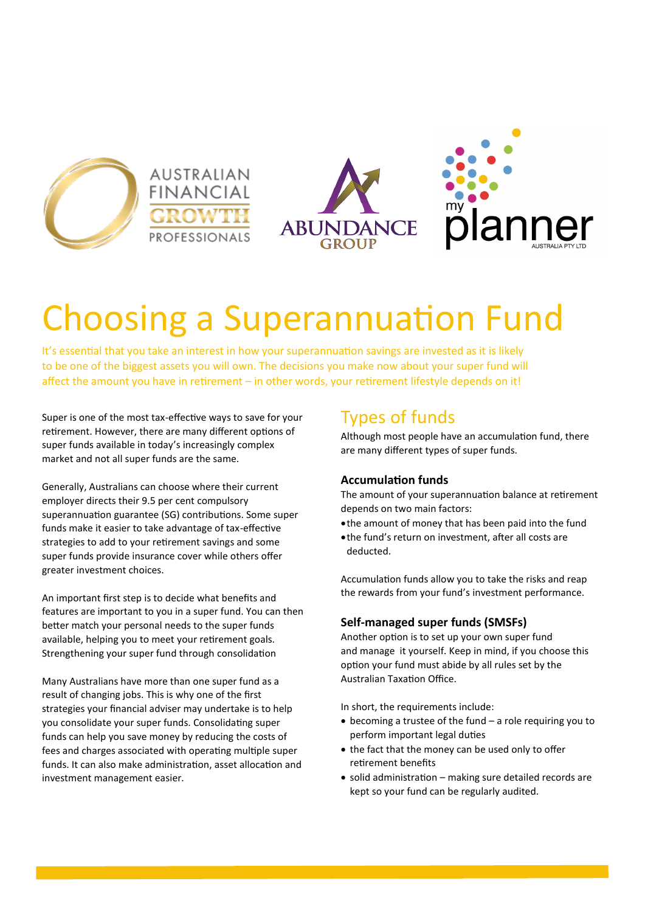







# Choosing a Superannuation Fund

It's essential that you take an interest in how your superannuation savings are invested as it is likely to be one of the biggest assets you will own. The decisions you make now about your super fund will affect the amount you have in retirement – in other words, your retirement lifestyle depends on it!

Super is one of the most tax-effective ways to save for your retirement. However, there are many different options of super funds available in today's increasingly complex market and not all super funds are the same.

Generally, Australians can choose where their current employer directs their 9.5 per cent compulsory superannuation guarantee (SG) contributions. Some super funds make it easier to take advantage of tax-effective strategies to add to your retirement savings and some super funds provide insurance cover while others offer greater investment choices.

An important first step is to decide what benefits and features are important to you in a super fund. You can then better match your personal needs to the super funds available, helping you to meet your retirement goals. Strengthening your super fund through consolidation

Many Australians have more than one super fund as a result of changing jobs. This is why one of the first strategies your financial adviser may undertake is to help you consolidate your super funds. Consolidating super funds can help you save money by reducing the costs of fees and charges associated with operating multiple super funds. It can also make administration, asset allocation and investment management easier.

# Types of funds

Although most people have an accumulation fund, there are many different types of super funds.

## **Accumulation funds**

The amount of your superannuation balance at retirement depends on two main factors:

- the amount of money that has been paid into the fund
- the fund's return on investment, after all costs are deducted.

Accumulation funds allow you to take the risks and reap the rewards from your fund's investment performance.

## **Self-managed super funds (SMSFs)**

Another option is to set up your own super fund and manage it yourself. Keep in mind, if you choose this option your fund must abide by all rules set by the Australian Taxation Office.

In short, the requirements include:

- becoming a trustee of the fund a role requiring you to perform important legal duties
- the fact that the money can be used only to offer retirement benefits
- solid administration making sure detailed records are kept so your fund can be regularly audited.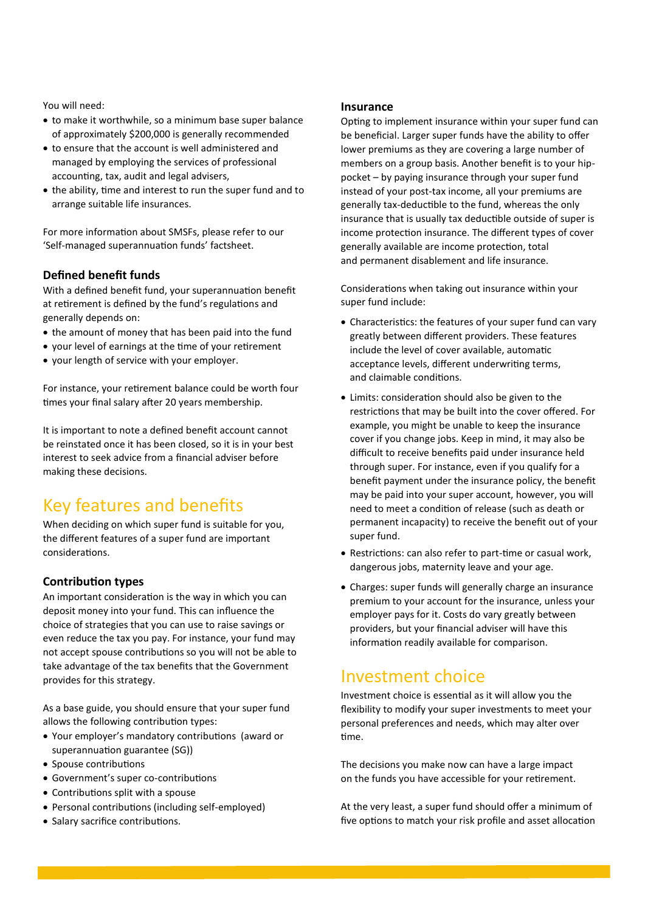You will need:

- to make it worthwhile, so a minimum base super balance of approximately \$200,000 is generally recommended
- to ensure that the account is well administered and managed by employing the services of professional accounting, tax, audit and legal advisers,
- the ability, time and interest to run the super fund and to arrange suitable life insurances.

For more information about SMSFs, please refer to our 'Self-managed superannuation funds' factsheet.

#### **Defined benefit funds**

With a defined benefit fund, your superannuation benefit at retirement is defined by the fund's regulations and generally depends on:

- the amount of money that has been paid into the fund
- your level of earnings at the time of your retirement
- your length of service with your employer.

For instance, your retirement balance could be worth four times your final salary after 20 years membership.

It is important to note a defined benefit account cannot be reinstated once it has been closed, so it is in your best interest to seek advice from a financial adviser before making these decisions.

# Key features and benefits

When deciding on which super fund is suitable for you, the different features of a super fund are important considerations.

## **Contribution types**

An important consideration is the way in which you can deposit money into your fund. This can influence the choice of strategies that you can use to raise savings or even reduce the tax you pay. For instance, your fund may not accept spouse contributions so you will not be able to take advantage of the tax benefits that the Government provides for this strategy.

As a base guide, you should ensure that your super fund allows the following contribution types:

- Your employer's mandatory contributions (award or superannuation guarantee (SG))
- Spouse contributions
- Government's super co-contributions
- Contributions split with a spouse
- Personal contributions (including self-employed)
- Salary sacrifice contributions.

#### **Insurance**

Opting to implement insurance within your super fund can be beneficial. Larger super funds have the ability to offer lower premiums as they are covering a large number of members on a group basis. Another benefit is to your hippocket – by paying insurance through your super fund instead of your post-tax income, all your premiums are generally tax-deductible to the fund, whereas the only insurance that is usually tax deductible outside of super is income protection insurance. The different types of cover generally available are income protection, total and permanent disablement and life insurance.

Considerations when taking out insurance within your super fund include:

- Characteristics: the features of your super fund can vary greatly between different providers. These features include the level of cover available, automatic acceptance levels, different underwriting terms, and claimable conditions.
- Limits: consideration should also be given to the restrictions that may be built into the cover offered. For example, you might be unable to keep the insurance cover if you change jobs. Keep in mind, it may also be difficult to receive benefits paid under insurance held through super. For instance, even if you qualify for a benefit payment under the insurance policy, the benefit may be paid into your super account, however, you will need to meet a condition of release (such as death or permanent incapacity) to receive the benefit out of your super fund.
- Restrictions: can also refer to part-time or casual work, dangerous jobs, maternity leave and your age.
- Charges: super funds will generally charge an insurance premium to your account for the insurance, unless your employer pays for it. Costs do vary greatly between providers, but your financial adviser will have this information readily available for comparison.

## Investment choice

Investment choice is essential as it will allow you the flexibility to modify your super investments to meet your personal preferences and needs, which may alter over time.

The decisions you make now can have a large impact on the funds you have accessible for your retirement.

At the very least, a super fund should offer a minimum of five options to match your risk profile and asset allocation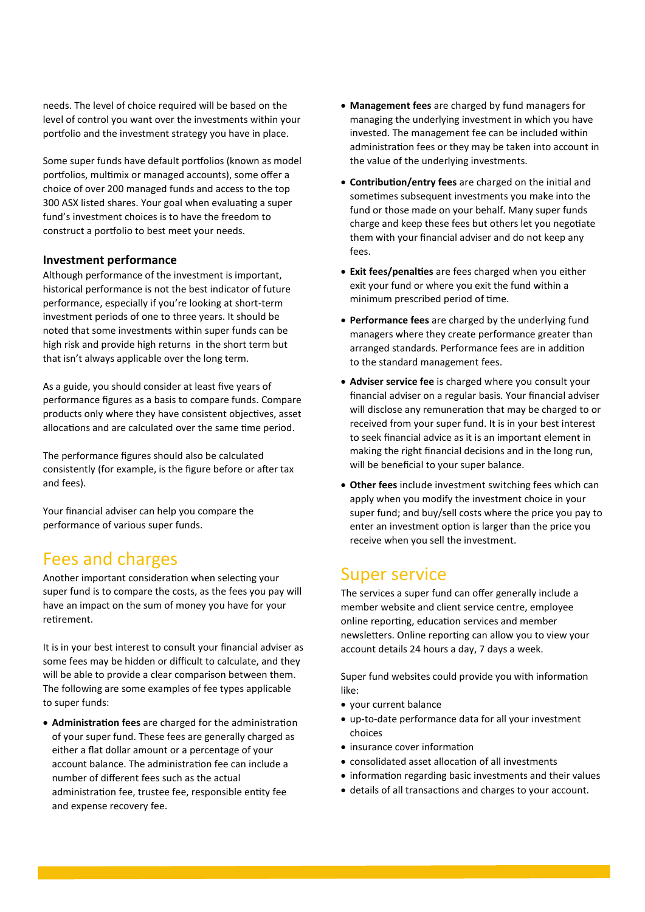needs. The level of choice required will be based on the level of control you want over the investments within your portfolio and the investment strategy you have in place.

Some super funds have default portfolios (known as model portfolios, multimix or managed accounts), some offer a choice of over 200 managed funds and access to the top 300 ASX listed shares. Your goal when evaluating a super fund's investment choices is to have the freedom to construct a portfolio to best meet your needs.

#### **Investment performance**

Although performance of the investment is important, historical performance is not the best indicator of future performance, especially if you're looking at short-term investment periods of one to three years. It should be noted that some investments within super funds can be high risk and provide high returns in the short term but that isn't always applicable over the long term.

As a guide, you should consider at least five years of performance figures as a basis to compare funds. Compare products only where they have consistent objectives, asset allocations and are calculated over the same time period.

The performance figures should also be calculated consistently (for example, is the figure before or after tax and fees).

Your financial adviser can help you compare the performance of various super funds.

## Fees and charges

Another important consideration when selecting your super fund is to compare the costs, as the fees you pay will have an impact on the sum of money you have for your retirement.

It is in your best interest to consult your financial adviser as some fees may be hidden or difficult to calculate, and they will be able to provide a clear comparison between them. The following are some examples of fee types applicable to super funds:

 **Administration fees** are charged for the administration of your super fund. These fees are generally charged as either a flat dollar amount or a percentage of your account balance. The administration fee can include a number of different fees such as the actual administration fee, trustee fee, responsible entity fee and expense recovery fee.

- **Management fees** are charged by fund managers for managing the underlying investment in which you have invested. The management fee can be included within administration fees or they may be taken into account in the value of the underlying investments.
- **Contribution/entry fees** are charged on the initial and sometimes subsequent investments you make into the fund or those made on your behalf. Many super funds charge and keep these fees but others let you negotiate them with your financial adviser and do not keep any fees.
- **Exit fees/penalties** are fees charged when you either exit your fund or where you exit the fund within a minimum prescribed period of time.
- **Performance fees** are charged by the underlying fund managers where they create performance greater than arranged standards. Performance fees are in addition to the standard management fees.
- **Adviser service fee** is charged where you consult your financial adviser on a regular basis. Your financial adviser will disclose any remuneration that may be charged to or received from your super fund. It is in your best interest to seek financial advice as it is an important element in making the right financial decisions and in the long run, will be beneficial to your super balance.
- **Other fees** include investment switching fees which can apply when you modify the investment choice in your super fund; and buy/sell costs where the price you pay to enter an investment option is larger than the price you receive when you sell the investment.

## Super service

The services a super fund can offer generally include a member website and client service centre, employee online reporting, education services and member newsletters. Online reporting can allow you to view your account details 24 hours a day, 7 days a week.

Super fund websites could provide you with information like:

- your current balance
- up-to-date performance data for all your investment choices
- insurance cover information
- consolidated asset allocation of all investments
- information regarding basic investments and their values
- details of all transactions and charges to your account.